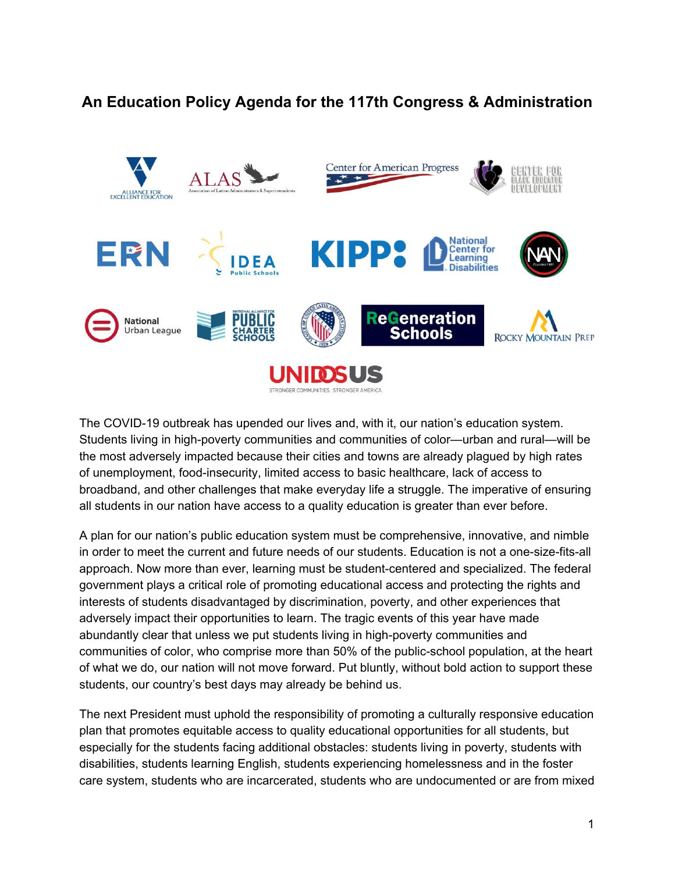## **An Education Policy Agenda for the 117th Congress & Administration**



The COVID-19 outbreak has upended our lives and, with it, our nation's education system. Students living in high-poverty communities and communities of color—urban and rural—will be the most adversely impacted because their cities and towns are already plagued by high rates of unemployment, food-insecurity, limited access to basic healthcare, lack of access to broadband, and other challenges that make everyday life a struggle. The imperative of ensuring all students in our nation have access to a quality education is greater than ever before.

A plan for our nation's public education system must be comprehensive, innovative, and nimble in order to meet the current and future needs of our students. Education is not a one-size-fits-all approach. Now more than ever, learning must be student-centered and specialized. The federal government plays a critical role of promoting educational access and protecting the rights and interests of students disadvantaged by discrimination, poverty, and other experiences that adversely impact their opportunities to learn. The tragic events of this year have made abundantly clear that unless we put students living in high-poverty communities and communities of color, who comprise more than 50% of the public-school population, at the heart of what we do, our nation will not move forward. Put bluntly, without bold action to support these students, our country's best days may already be behind us.

The next President must uphold the responsibility of promoting a culturally responsive education plan that promotes equitable access to quality educational opportunities for all students, but especially for the students facing additional obstacles: students living in poverty, students with disabilities, students learning English, students experiencing homelessness and in the foster care system, students who are incarcerated, students who are undocumented or are from mixed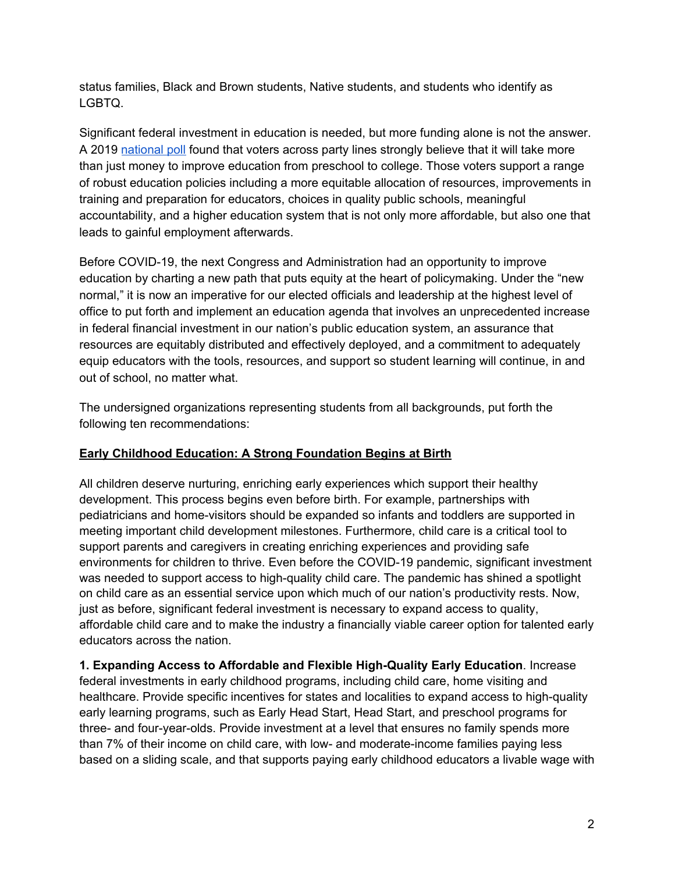status families, Black and Brown students, Native students, and students who identify as LGBTQ.

Significant federal investment in education is needed, but more funding alone is not the answer. A 201[9](http://dfer.org/wp-content/uploads/2019/10/Interested-Parties-Memo-October-2019.pdf) [national](http://dfer.org/wp-content/uploads/2019/10/Interested-Parties-Memo-October-2019.pdf) poll found that voters across party lines strongly believe that it will take more than just money to improve education from preschool to college. Those voters support a range of robust education policies including a more equitable allocation of resources, improvements in training and preparation for educators, choices in quality public schools, meaningful accountability, and a higher education system that is not only more affordable, but also one that leads to gainful employment afterwards.

Before COVID-19, the next Congress and Administration had an opportunity to improve education by charting a new path that puts equity at the heart of policymaking. Under the "new normal," it is now an imperative for our elected officials and leadership at the highest level of office to put forth and implement an education agenda that involves an unprecedented increase in federal financial investment in our nation's public education system, an assurance that resources are equitably distributed and effectively deployed, and a commitment to adequately equip educators with the tools, resources, and support so student learning will continue, in and out of school, no matter what.

The undersigned organizations representing students from all backgrounds, put forth the following ten recommendations:

## **Early Childhood Education: A Strong Foundation Begins at Birth**

All children deserve nurturing, enriching early experiences which support their healthy development. This process begins even before birth. For example, partnerships with pediatricians and home-visitors should be expanded so infants and toddlers are supported in meeting important child development milestones. Furthermore, child care is a critical tool to support parents and caregivers in creating enriching experiences and providing safe environments for children to thrive. Even before the COVID-19 pandemic, significant investment was needed to support access to high-quality child care. The pandemic has shined a spotlight on child care as an essential service upon which much of our nation's productivity rests. Now, just as before, significant federal investment is necessary to expand access to quality, affordable child care and to make the industry a financially viable career option for talented early educators across the nation.

**1. Expanding Access to Affordable and Flexible High-Quality Early Education**. Increase federal investments in early childhood programs, including child care, home visiting and healthcare. Provide specific incentives for states and localities to expand access to high-quality early learning programs, such as Early Head Start, Head Start, and preschool programs for three- and four-year-olds. Provide investment at a level that ensures no family spends more than 7% of their income on child care, with low- and moderate-income families paying less based on a sliding scale, and that supports paying early childhood educators a livable wage with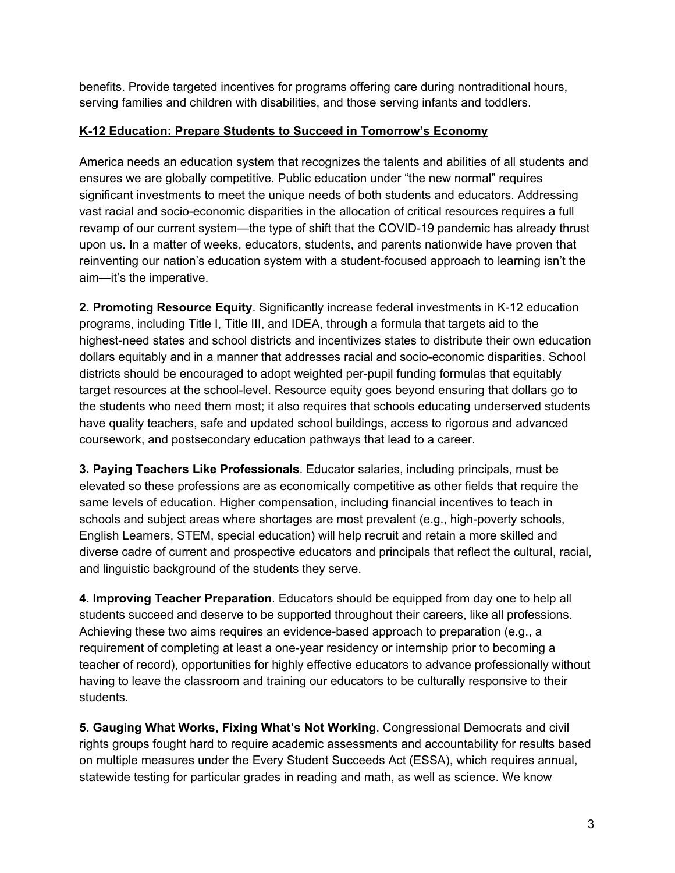benefits. Provide targeted incentives for programs offering care during nontraditional hours, serving families and children with disabilities, and those serving infants and toddlers.

## **K-12 Education: Prepare Students to Succeed in Tomorrow's Economy**

America needs an education system that recognizes the talents and abilities of all students and ensures we are globally competitive. Public education under "the new normal" requires significant investments to meet the unique needs of both students and educators. Addressing vast racial and socio-economic disparities in the allocation of critical resources requires a full revamp of our current system—the type of shift that the COVID-19 pandemic has already thrust upon us. In a matter of weeks, educators, students, and parents nationwide have proven that reinventing our nation's education system with a student-focused approach to learning isn't the aim—it's the imperative.

**2. Promoting Resource Equity**. Significantly increase federal investments in K-12 education programs, including Title I, Title III, and IDEA, through a formula that targets aid to the highest-need states and school districts and incentivizes states to distribute their own education dollars equitably and in a manner that addresses racial and socio-economic disparities. School districts should be encouraged to adopt weighted per-pupil funding formulas that equitably target resources at the school-level. Resource equity goes beyond ensuring that dollars go to the students who need them most; it also requires that schools educating underserved students have quality teachers, safe and updated school buildings, access to rigorous and advanced coursework, and postsecondary education pathways that lead to a career.

**3. Paying Teachers Like Professionals**. Educator salaries, including principals, must be elevated so these professions are as economically competitive as other fields that require the same levels of education. Higher compensation, including financial incentives to teach in schools and subject areas where shortages are most prevalent (e.g., high-poverty schools, English Learners, STEM, special education) will help recruit and retain a more skilled and diverse cadre of current and prospective educators and principals that reflect the cultural, racial, and linguistic background of the students they serve.

**4. Improving Teacher Preparation**. Educators should be equipped from day one to help all students succeed and deserve to be supported throughout their careers, like all professions. Achieving these two aims requires an evidence-based approach to preparation (e.g., a requirement of completing at least a one-year residency or internship prior to becoming a teacher of record), opportunities for highly effective educators to advance professionally without having to leave the classroom and training our educators to be culturally responsive to their students.

**5. Gauging What Works, Fixing What's Not Working**. Congressional Democrats and civil rights groups fought hard to require academic assessments and accountability for results based on multiple measures under the Every Student Succeeds Act (ESSA), which requires annual, statewide testing for particular grades in reading and math, as well as science. We know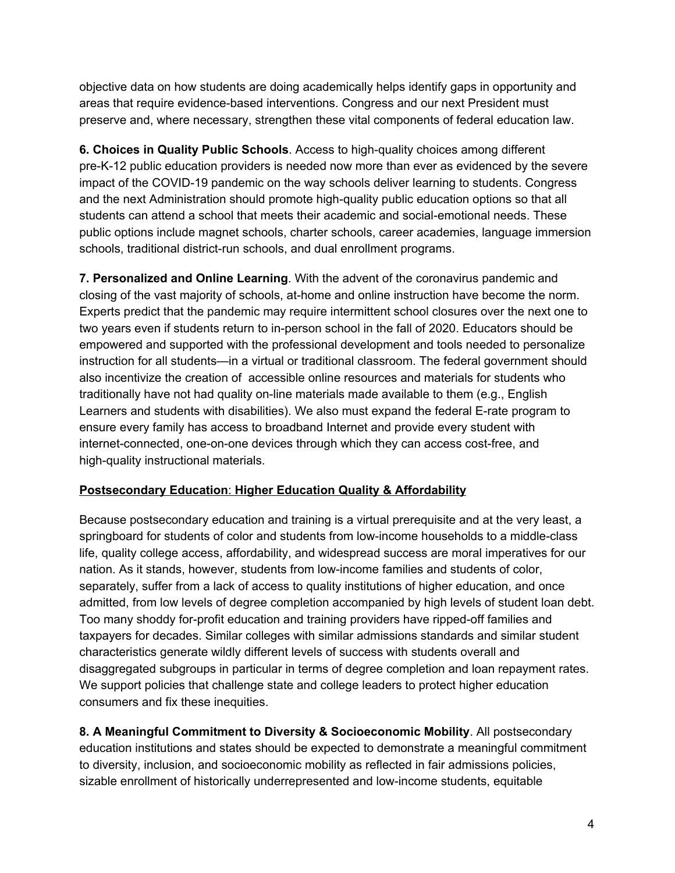objective data on how students are doing academically helps identify gaps in opportunity and areas that require evidence-based interventions. Congress and our next President must preserve and, where necessary, strengthen these vital components of federal education law.

**6. Choices in Quality Public Schools**. Access to high-quality choices among different pre-K-12 public education providers is needed now more than ever as evidenced by the severe impact of the COVID-19 pandemic on the way schools deliver learning to students. Congress and the next Administration should promote high-quality public education options so that all students can attend a school that meets their academic and social-emotional needs. These public options include magnet schools, charter schools, career academies, language immersion schools, traditional district-run schools, and dual enrollment programs.

**7. Personalized and Online Learning**. With the advent of the coronavirus pandemic and closing of the vast majority of schools, at-home and online instruction have become the norm. Experts predict that the pandemic may require intermittent school closures over the next one to two years even if students return to in-person school in the fall of 2020. Educators should be empowered and supported with the professional development and tools needed to personalize instruction for all students—in a virtual or traditional classroom. The federal government should also incentivize the creation of accessible online resources and materials for students who traditionally have not had quality on-line materials made available to them (e.g., English Learners and students with disabilities). We also must expand the federal E-rate program to ensure every family has access to broadband Internet and provide every student with internet-connected, one-on-one devices through which they can access cost-free, and high-quality instructional materials.

## **Postsecondary Education**: **Higher Education Quality & Affordability**

Because postsecondary education and training is a virtual prerequisite and at the very least, a springboard for students of color and students from low-income households to a middle-class life, quality college access, affordability, and widespread success are moral imperatives for our nation. As it stands, however, students from low-income families and students of color, separately, suffer from a lack of access to quality institutions of higher education, and once admitted, from low levels of degree completion accompanied by high levels of student loan debt. Too many shoddy for-profit education and training providers have ripped-off families and taxpayers for decades. Similar colleges with similar admissions standards and similar student characteristics generate wildly different levels of success with students overall and disaggregated subgroups in particular in terms of degree completion and loan repayment rates. We support policies that challenge state and college leaders to protect higher education consumers and fix these inequities.

**8. A Meaningful Commitment to Diversity & Socioeconomic Mobility**. All postsecondary education institutions and states should be expected to demonstrate a meaningful commitment to diversity, inclusion, and socioeconomic mobility as reflected in fair admissions policies, sizable enrollment of historically underrepresented and low-income students, equitable